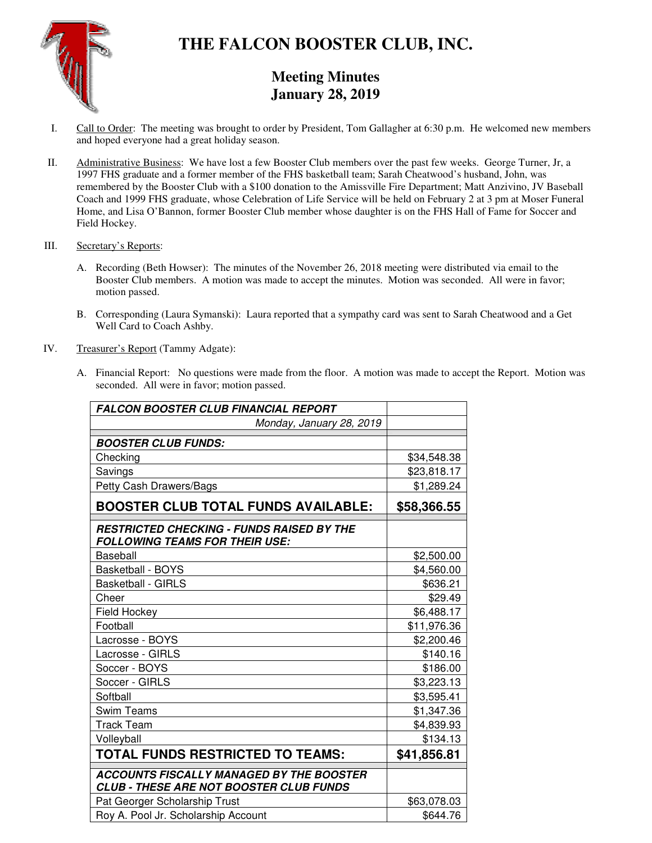

# **THE FALCON BOOSTER CLUB, INC.**

# **Meeting Minutes January 28, 2019**

- I. Call to Order: The meeting was brought to order by President, Tom Gallagher at 6:30 p.m. He welcomed new members and hoped everyone had a great holiday season.
- II. Administrative Business: We have lost a few Booster Club members over the past few weeks. George Turner, Jr, a 1997 FHS graduate and a former member of the FHS basketball team; Sarah Cheatwood's husband, John, was remembered by the Booster Club with a \$100 donation to the Amissville Fire Department; Matt Anzivino, JV Baseball Coach and 1999 FHS graduate, whose Celebration of Life Service will be held on February 2 at 3 pm at Moser Funeral Home, and Lisa O'Bannon, former Booster Club member whose daughter is on the FHS Hall of Fame for Soccer and Field Hockey.

#### III. Secretary's Reports:

- A. Recording (Beth Howser): The minutes of the November 26, 2018 meeting were distributed via email to the Booster Club members. A motion was made to accept the minutes. Motion was seconded. All were in favor; motion passed.
- B. Corresponding (Laura Symanski): Laura reported that a sympathy card was sent to Sarah Cheatwood and a Get Well Card to Coach Ashby.
- IV. Treasurer's Report (Tammy Adgate):
	- A. Financial Report: No questions were made from the floor. A motion was made to accept the Report. Motion was seconded. All were in favor; motion passed.

| <b>FALCON BOOSTER CLUB FINANCIAL REPORT</b>                                                |             |
|--------------------------------------------------------------------------------------------|-------------|
| Monday, January 28, 2019                                                                   |             |
| <b>BOOSTER CLUB FUNDS:</b>                                                                 |             |
| Checking                                                                                   | \$34,548.38 |
| Savings                                                                                    | \$23,818.17 |
| Petty Cash Drawers/Bags                                                                    | \$1,289.24  |
| <b>BOOSTER CLUB TOTAL FUNDS AVAILABLE:</b>                                                 | \$58,366.55 |
| <b>RESTRICTED CHECKING - FUNDS RAISED BY THE</b><br><b>FOLLOWING TEAMS FOR THEIR USE:</b>  |             |
| <b>Baseball</b>                                                                            | \$2,500.00  |
| <b>Basketball - BOYS</b>                                                                   | \$4,560.00  |
| <b>Basketball - GIRLS</b>                                                                  | \$636.21    |
| Cheer                                                                                      | \$29.49     |
| Field Hockey                                                                               | \$6,488.17  |
| Football                                                                                   | \$11,976.36 |
| Lacrosse - BOYS                                                                            | \$2,200.46  |
| Lacrosse - GIRLS                                                                           | \$140.16    |
| Soccer - BOYS                                                                              | \$186.00    |
| Soccer - GIRLS                                                                             | \$3,223.13  |
| Softball                                                                                   | \$3,595.41  |
| <b>Swim Teams</b>                                                                          | \$1,347.36  |
| <b>Track Team</b>                                                                          | \$4,839.93  |
| Volleyball                                                                                 | \$134.13    |
| <b>TOTAL FUNDS RESTRICTED TO TEAMS:</b>                                                    | \$41,856.81 |
| <b>ACCOUNTS FISCALLY MANAGED BY THE BOOSTER</b><br>CLUB - THESE ARE NOT BOOSTER CLUB FUNDS |             |
| Pat Georger Scholarship Trust                                                              | \$63,078.03 |
| Roy A. Pool Jr. Scholarship Account                                                        | \$644.76    |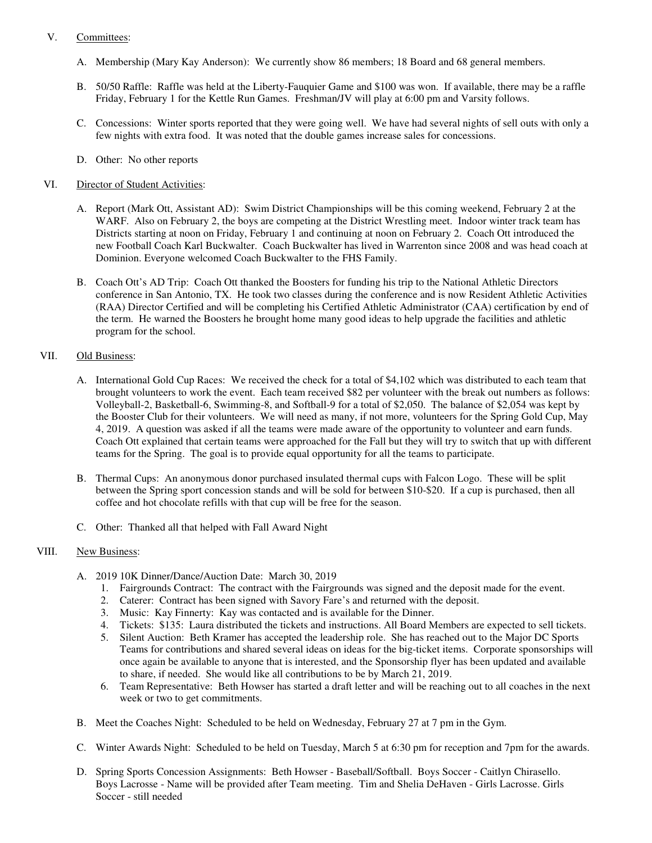#### V. Committees:

- A. Membership (Mary Kay Anderson): We currently show 86 members; 18 Board and 68 general members.
- B. 50/50 Raffle: Raffle was held at the Liberty-Fauquier Game and \$100 was won. If available, there may be a raffle Friday, February 1 for the Kettle Run Games. Freshman/JV will play at 6:00 pm and Varsity follows.
- C. Concessions: Winter sports reported that they were going well. We have had several nights of sell outs with only a few nights with extra food. It was noted that the double games increase sales for concessions.
- D. Other: No other reports

### VI. Director of Student Activities:

- A. Report (Mark Ott, Assistant AD): Swim District Championships will be this coming weekend, February 2 at the WARF. Also on February 2, the boys are competing at the District Wrestling meet. Indoor winter track team has Districts starting at noon on Friday, February 1 and continuing at noon on February 2. Coach Ott introduced the new Football Coach Karl Buckwalter. Coach Buckwalter has lived in Warrenton since 2008 and was head coach at Dominion. Everyone welcomed Coach Buckwalter to the FHS Family.
- B. Coach Ott's AD Trip: Coach Ott thanked the Boosters for funding his trip to the National Athletic Directors conference in San Antonio, TX. He took two classes during the conference and is now Resident Athletic Activities (RAA) Director Certified and will be completing his Certified Athletic Administrator (CAA) certification by end of the term. He warned the Boosters he brought home many good ideas to help upgrade the facilities and athletic program for the school.

#### VII. Old Business:

- A. International Gold Cup Races: We received the check for a total of \$4,102 which was distributed to each team that brought volunteers to work the event. Each team received \$82 per volunteer with the break out numbers as follows: Volleyball-2, Basketball-6, Swimming-8, and Softball-9 for a total of \$2,050. The balance of \$2,054 was kept by the Booster Club for their volunteers. We will need as many, if not more, volunteers for the Spring Gold Cup, May 4, 2019. A question was asked if all the teams were made aware of the opportunity to volunteer and earn funds. Coach Ott explained that certain teams were approached for the Fall but they will try to switch that up with different teams for the Spring. The goal is to provide equal opportunity for all the teams to participate.
- B. Thermal Cups: An anonymous donor purchased insulated thermal cups with Falcon Logo. These will be split between the Spring sport concession stands and will be sold for between \$10-\$20. If a cup is purchased, then all coffee and hot chocolate refills with that cup will be free for the season.
- C. Other: Thanked all that helped with Fall Award Night

## VIII. New Business:

- A. 2019 10K Dinner/Dance/Auction Date: March 30, 2019
	- 1. Fairgrounds Contract: The contract with the Fairgrounds was signed and the deposit made for the event.
	- 2. Caterer: Contract has been signed with Savory Fare's and returned with the deposit.
	- 3. Music: Kay Finnerty: Kay was contacted and is available for the Dinner.
	- 4. Tickets: \$135: Laura distributed the tickets and instructions. All Board Members are expected to sell tickets.
	- 5. Silent Auction: Beth Kramer has accepted the leadership role. She has reached out to the Major DC Sports Teams for contributions and shared several ideas on ideas for the big-ticket items. Corporate sponsorships will once again be available to anyone that is interested, and the Sponsorship flyer has been updated and available to share, if needed. She would like all contributions to be by March 21, 2019.
	- 6. Team Representative: Beth Howser has started a draft letter and will be reaching out to all coaches in the next week or two to get commitments.
- B. Meet the Coaches Night: Scheduled to be held on Wednesday, February 27 at 7 pm in the Gym.
- C. Winter Awards Night: Scheduled to be held on Tuesday, March 5 at 6:30 pm for reception and 7pm for the awards.
- D. Spring Sports Concession Assignments: Beth Howser Baseball/Softball. Boys Soccer Caitlyn Chirasello. Boys Lacrosse - Name will be provided after Team meeting. Tim and Shelia DeHaven - Girls Lacrosse. Girls Soccer - still needed